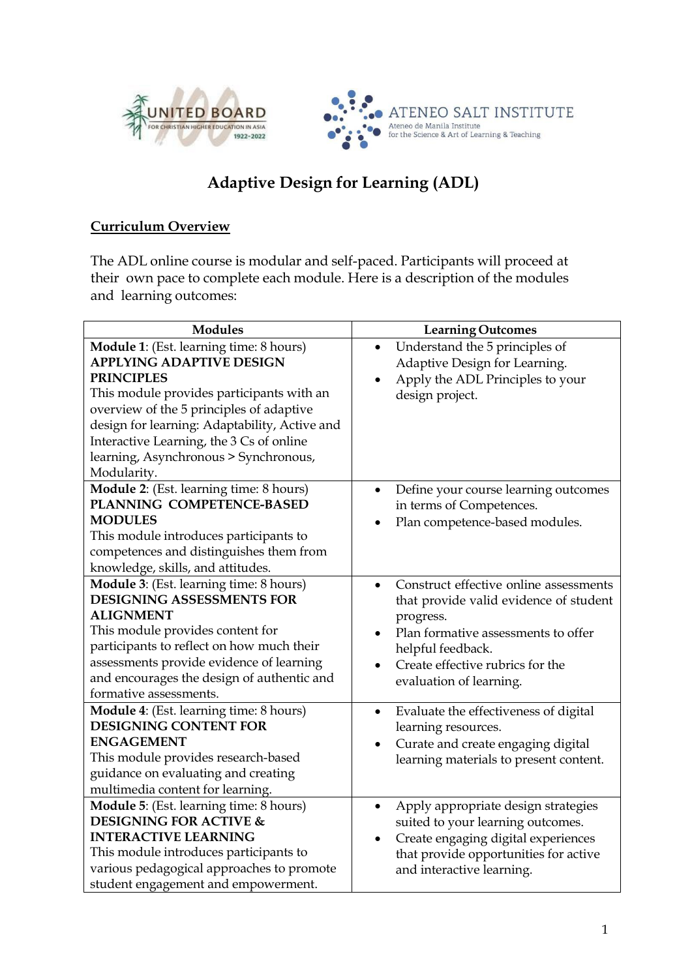



# **Adaptive Design for Learning (ADL)**

### **Curriculum Overview**

The ADL online course is modular and self-paced. Participants will proceed at their own pace to complete each module. Here is a description of the modules and learning outcomes:

| <b>Modules</b>                                                                                                                                                                                                                                                                                                                                | <b>Learning Outcomes</b>                                                                                                                                                                                                              |
|-----------------------------------------------------------------------------------------------------------------------------------------------------------------------------------------------------------------------------------------------------------------------------------------------------------------------------------------------|---------------------------------------------------------------------------------------------------------------------------------------------------------------------------------------------------------------------------------------|
| Module 1: (Est. learning time: 8 hours)<br><b>APPLYING ADAPTIVE DESIGN</b><br><b>PRINCIPLES</b><br>This module provides participants with an<br>overview of the 5 principles of adaptive<br>design for learning: Adaptability, Active and<br>Interactive Learning, the 3 Cs of online<br>learning, Asynchronous > Synchronous,<br>Modularity. | Understand the 5 principles of<br>$\bullet$<br>Adaptive Design for Learning.<br>Apply the ADL Principles to your<br>design project.                                                                                                   |
| Module 2: (Est. learning time: 8 hours)<br>PLANNING COMPETENCE-BASED<br><b>MODULES</b><br>This module introduces participants to<br>competences and distinguishes them from<br>knowledge, skills, and attitudes.                                                                                                                              | Define your course learning outcomes<br>in terms of Competences.<br>Plan competence-based modules.                                                                                                                                    |
| Module 3: (Est. learning time: 8 hours)<br><b>DESIGNING ASSESSMENTS FOR</b><br><b>ALIGNMENT</b><br>This module provides content for<br>participants to reflect on how much their<br>assessments provide evidence of learning<br>and encourages the design of authentic and<br>formative assessments.                                          | Construct effective online assessments<br>$\bullet$<br>that provide valid evidence of student<br>progress.<br>Plan formative assessments to offer<br>helpful feedback.<br>Create effective rubrics for the<br>evaluation of learning. |
| Module 4: (Est. learning time: 8 hours)<br><b>DESIGNING CONTENT FOR</b><br><b>ENGAGEMENT</b><br>This module provides research-based<br>guidance on evaluating and creating<br>multimedia content for learning.                                                                                                                                | Evaluate the effectiveness of digital<br>learning resources.<br>Curate and create engaging digital<br>learning materials to present content.                                                                                          |
| Module 5: (Est. learning time: 8 hours)<br><b>DESIGNING FOR ACTIVE &amp;</b><br><b>INTERACTIVE LEARNING</b><br>This module introduces participants to<br>various pedagogical approaches to promote<br>student engagement and empowerment.                                                                                                     | Apply appropriate design strategies<br>$\bullet$<br>suited to your learning outcomes.<br>Create engaging digital experiences<br>that provide opportunities for active<br>and interactive learning.                                    |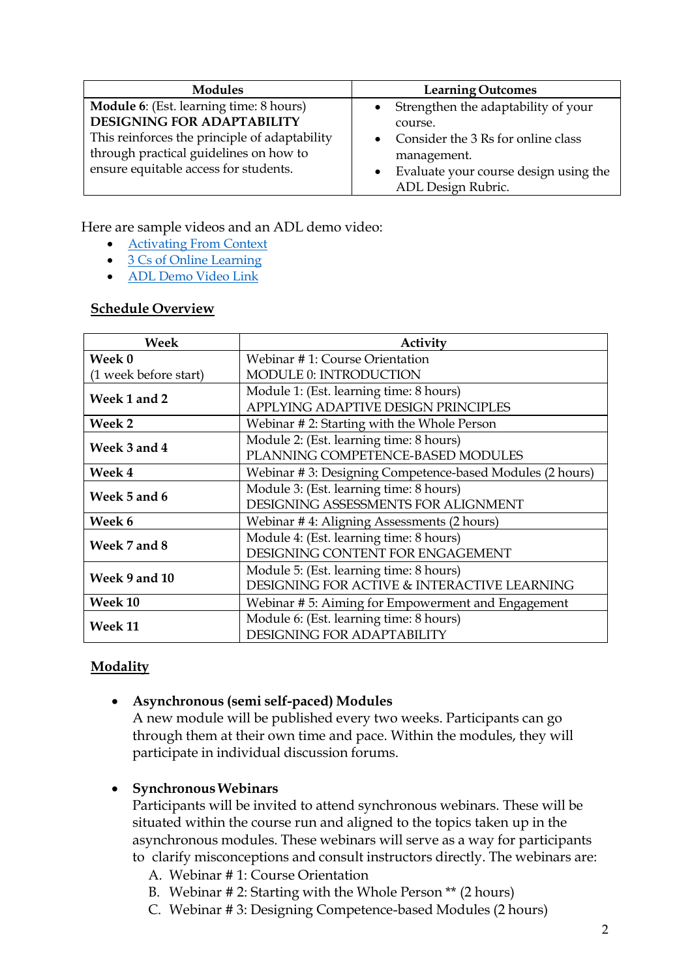| <b>Modules</b>                                 | <b>Learning Outcomes</b>               |
|------------------------------------------------|----------------------------------------|
| <b>Module 6:</b> (Est. learning time: 8 hours) | • Strengthen the adaptability of your  |
| DESIGNING FOR ADAPTABILITY                     | course.                                |
| This reinforces the principle of adaptability  | • Consider the $3$ Rs for online class |
| through practical guidelines on how to         | management.                            |
| ensure equitable access for students.          | Evaluate your course design using the  |
|                                                | ADL Design Rubric.                     |

Here are sample videos and an ADL demo video:

- [Activating From](https://www.youtube.com/watch?v=mP3l628WZQo&t=27s) Context
- 3 Cs of Online [Learning](https://youtu.be/sOxHyKrf9Wo)
- ADL Demo [Video Link](https://drive.google.com/file/d/1v1AkHzwFdyjEiGpbq2GCcScB6sc1Q1Li/view?usp=shar)

#### **Schedule Overview**

| Week                  | Activity                                                 |
|-----------------------|----------------------------------------------------------|
| Week 0                | Webinar #1: Course Orientation                           |
| (1 week before start) | MODULE 0: INTRODUCTION                                   |
| Week 1 and 2          | Module 1: (Est. learning time: 8 hours)                  |
|                       | APPLYING ADAPTIVE DESIGN PRINCIPLES                      |
| Week 2                | Webinar #2: Starting with the Whole Person               |
| Week 3 and 4          | Module 2: (Est. learning time: 8 hours)                  |
|                       | PLANNING COMPETENCE-BASED MODULES                        |
| <b>Week 4</b>         | Webinar #3: Designing Competence-based Modules (2 hours) |
| Week 5 and 6          | Module 3: (Est. learning time: 8 hours)                  |
|                       | DESIGNING ASSESSMENTS FOR ALIGNMENT                      |
| Week 6                | Webinar #4: Aligning Assessments (2 hours)               |
| Week 7 and 8          | Module 4: (Est. learning time: 8 hours)                  |
|                       | DESIGNING CONTENT FOR ENGAGEMENT                         |
| Week 9 and 10         | Module 5: (Est. learning time: 8 hours)                  |
|                       | DESIGNING FOR ACTIVE & INTERACTIVE LEARNING              |
| <b>Week 10</b>        | Webinar #5: Aiming for Empowerment and Engagement        |
| <b>Week 11</b>        | Module 6: (Est. learning time: 8 hours)                  |
|                       | <b>DESIGNING FOR ADAPTABILITY</b>                        |

#### **Modality**

#### • **Asynchronous (semi self-paced) Modules**

A new module will be published every two weeks. Participants can go through them at their own time and pace. Within the modules, they will participate in individual discussion forums.

#### • **SynchronousWebinars**

Participants will be invited to attend synchronous webinars. These will be situated within the course run and aligned to the topics taken up in the asynchronous modules. These webinars will serve as a way for participants to clarify misconceptions and consult instructors directly. The webinars are:

- A. Webinar # 1: Course Orientation
- B. Webinar # 2: Starting with the Whole Person \*\* (2 hours)
- C. Webinar # 3: Designing Competence-based Modules (2 hours)